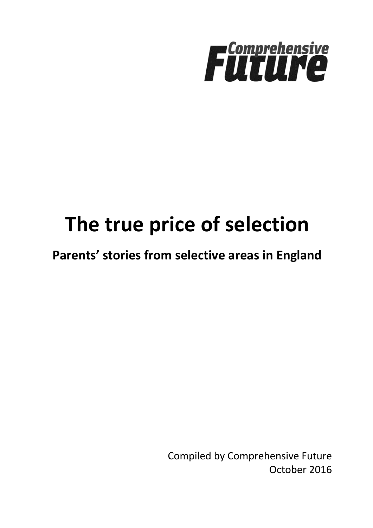

# **The true price of selection**

**Parents' stories from selective areas in England**

Compiled by Comprehensive Future October 2016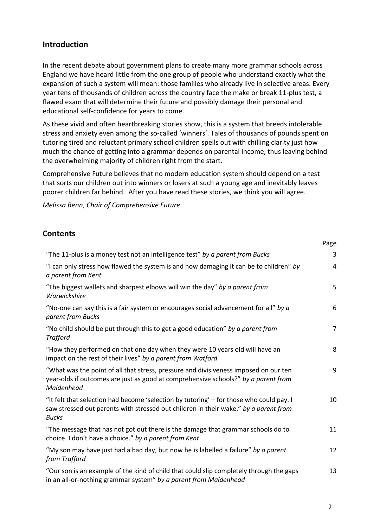#### **Introduction**

In the recent debate about government plans to create many more grammar schools across England we have heard little from the one group of people who understand exactly what the expansion of such a system will mean: those families who already live in selective areas. Every year tens of thousands of children across the country face the make or break 11-plus test, a flawed exam that will determine their future and possibly damage their personal and educational self-confidence for years to come.

As these vivid and often heartbreaking stories show, this is a system that breeds intolerable stress and anxiety even among the so-called 'winners'. Tales of thousands of pounds spent on tutoring tired and reluctant primary school children spells out with chilling clarity just how much the chance of getting into a grammar depends on parental income, thus leaving behind the overwhelming majority of children right from the start.

Comprehensive Future believes that no modern education system should depend on a test that sorts our children out into winners or losers at such a young age and inevitably leaves poorer children far behind. After you have read these stories, we think you will agree.

*Melissa Benn*, *Chair of Comprehensive Future*

#### **Contents**

| "The 11-plus is a money test not an intelligence test" by a parent from Bucks                                                                                                                   | $\overline{3}$ |
|-------------------------------------------------------------------------------------------------------------------------------------------------------------------------------------------------|----------------|
| "I can only stress how flawed the system is and how damaging it can be to children" by<br>a parent from Kent                                                                                    | 4              |
| "The biggest wallets and sharpest elbows will win the day" by a parent from<br>Warwickshire                                                                                                     | 5              |
| "No-one can say this is a fair system or encourages social advancement for all" by $a$<br>parent from Bucks                                                                                     | 6              |
| "No child should be put through this to get a good education" by a parent from<br><b>Trafford</b>                                                                                               | $\overline{7}$ |
| "How they performed on that one day when they were 10 years old will have an<br>impact on the rest of their lives" by a parent from Watford                                                     | 8              |
| "What was the point of all that stress, pressure and divisiveness imposed on our ten<br>year-olds if outcomes are just as good at comprehensive schools?" by a parent from<br>Maidenhead        | 9              |
| "It felt that selection had become 'selection by tutoring' - for those who could pay. I<br>saw stressed out parents with stressed out children in their wake." by a parent from<br><b>Bucks</b> | 10             |
| "The message that has not got out there is the damage that grammar schools do to<br>choice. I don't have a choice." by a parent from Kent                                                       | 11             |
| "My son may have just had a bad day, but now he is labelled a failure" by a parent<br>from Trafford                                                                                             | 12             |
| "Our son is an example of the kind of child that could slip completely through the gaps<br>in an all-or-nothing grammar system" by a parent from Maidenhead                                     | 13             |

Page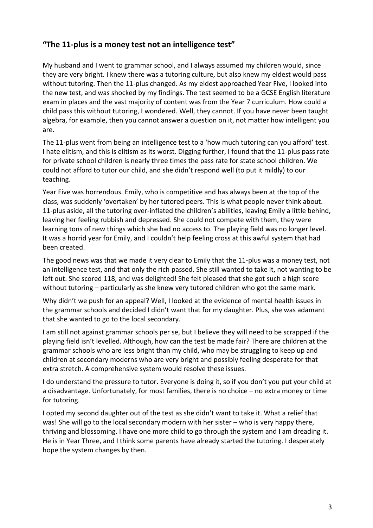## **"The 11-plus is a money test not an intelligence test"**

My husband and I went to grammar school, and I always assumed my children would, since they are very bright. I knew there was a tutoring culture, but also knew my eldest would pass without tutoring. Then the 11-plus changed. As my eldest approached Year Five, I looked into the new test, and was shocked by my findings. The test seemed to be a GCSE English literature exam in places and the vast majority of content was from the Year 7 curriculum. How could a child pass this without tutoring, I wondered. Well, they cannot. If you have never been taught algebra, for example, then you cannot answer a question on it, not matter how intelligent you are.

The 11-plus went from being an intelligence test to a 'how much tutoring can you afford' test. I hate elitism, and this is elitism as its worst. Digging further, I found that the 11-plus pass rate for private school children is nearly three times the pass rate for state school children. We could not afford to tutor our child, and she didn't respond well (to put it mildly) to our teaching.

Year Five was horrendous. Emily, who is competitive and has always been at the top of the class, was suddenly 'overtaken' by her tutored peers. This is what people never think about. 11-plus aside, all the tutoring over-inflated the children's abilities, leaving Emily a little behind, leaving her feeling rubbish and depressed. She could not compete with them, they were learning tons of new things which she had no access to. The playing field was no longer level. It was a horrid year for Emily, and I couldn't help feeling cross at this awful system that had been created.

The good news was that we made it very clear to Emily that the 11-plus was a money test, not an intelligence test, and that only the rich passed. She still wanted to take it, not wanting to be left out. She scored 118, and was delighted! She felt pleased that she got such a high score without tutoring – particularly as she knew very tutored children who got the same mark.

Why didn't we push for an appeal? Well, I looked at the evidence of mental health issues in the grammar schools and decided I didn't want that for my daughter. Plus, she was adamant that she wanted to go to the local secondary.

I am still not against grammar schools per se, but I believe they will need to be scrapped if the playing field isn't levelled. Although, how can the test be made fair? There are children at the grammar schools who are less bright than my child, who may be struggling to keep up and children at secondary moderns who are very bright and possibly feeling desperate for that extra stretch. A comprehensive system would resolve these issues.

I do understand the pressure to tutor. Everyone is doing it, so if you don't you put your child at a disadvantage. Unfortunately, for most families, there is no choice – no extra money or time for tutoring.

I opted my second daughter out of the test as she didn't want to take it. What a relief that was! She will go to the local secondary modern with her sister – who is very happy there, thriving and blossoming. I have one more child to go through the system and I am dreading it. He is in Year Three, and I think some parents have already started the tutoring. I desperately hope the system changes by then.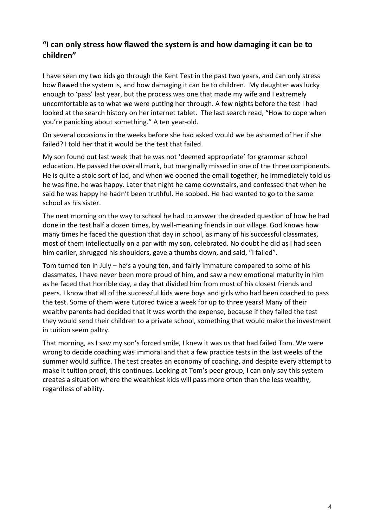## **"I can only stress how flawed the system is and how damaging it can be to children"**

I have seen my two kids go through the Kent Test in the past two years, and can only stress how flawed the system is, and how damaging it can be to children. My daughter was lucky enough to 'pass' last year, but the process was one that made my wife and I extremely uncomfortable as to what we were putting her through. A few nights before the test I had looked at the search history on her internet tablet. The last search read, "How to cope when you're panicking about something." A ten year-old.

On several occasions in the weeks before she had asked would we be ashamed of her if she failed? I told her that it would be the test that failed.

My son found out last week that he was not 'deemed appropriate' for grammar school education. He passed the overall mark, but marginally missed in one of the three components. He is quite a stoic sort of lad, and when we opened the email together, he immediately told us he was fine, he was happy. Later that night he came downstairs, and confessed that when he said he was happy he hadn't been truthful. He sobbed. He had wanted to go to the same school as his sister.

The next morning on the way to school he had to answer the dreaded question of how he had done in the test half a dozen times, by well-meaning friends in our village. God knows how many times he faced the question that day in school, as many of his successful classmates, most of them intellectually on a par with my son, celebrated. No doubt he did as I had seen him earlier, shrugged his shoulders, gave a thumbs down, and said, "I failed".

Tom turned ten in July – he's a young ten, and fairly immature compared to some of his classmates. I have never been more proud of him, and saw a new emotional maturity in him as he faced that horrible day, a day that divided him from most of his closest friends and peers. I know that all of the successful kids were boys and girls who had been coached to pass the test. Some of them were tutored twice a week for up to three years! Many of their wealthy parents had decided that it was worth the expense, because if they failed the test they would send their children to a private school, something that would make the investment in tuition seem paltry.

That morning, as I saw my son's forced smile, I knew it was us that had failed Tom. We were wrong to decide coaching was immoral and that a few practice tests in the last weeks of the summer would suffice. The test creates an economy of coaching, and despite every attempt to make it tuition proof, this continues. Looking at Tom's peer group, I can only say this system creates a situation where the wealthiest kids will pass more often than the less wealthy, regardless of ability.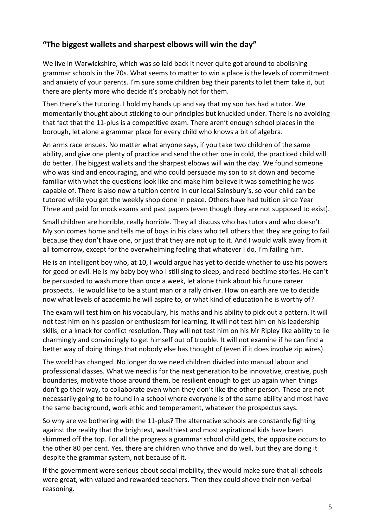## **"The biggest wallets and sharpest elbows will win the day"**

We live in Warwickshire, which was so laid back it never quite got around to abolishing grammar schools in the 70s. What seems to matter to win a place is the levels of commitment and anxiety of your parents. I'm sure some children beg their parents to let them take it, but there are plenty more who decide it's probably not for them.

Then there's the tutoring. I hold my hands up and say that my son has had a tutor. We momentarily thought about sticking to our principles but knuckled under. There is no avoiding that fact that the 11-plus is a competitive exam. There aren't enough school places in the borough, let alone a grammar place for every child who knows a bit of algebra.

An arms race ensues. No matter what anyone says, if you take two children of the same ability, and give one plenty of practice and send the other one in cold, the practiced child will do better. The biggest wallets and the sharpest elbows will win the day. We found someone who was kind and encouraging, and who could persuade my son to sit down and become familiar with what the questions look like and make him believe it was something he was capable of. There is also now a tuition centre in our local Sainsbury's, so your child can be tutored while you get the weekly shop done in peace. Others have had tuition since Year Three and paid for mock exams and past papers (even though they are not supposed to exist).

Small children are horrible, really horrible. They all discuss who has tutors and who doesn't. My son comes home and tells me of boys in his class who tell others that they are going to fail because they don't have one, or just that they are not up to it. And I would walk away from it all tomorrow, except for the overwhelming feeling that whatever I do, I'm failing him.

He is an intelligent boy who, at 10, I would argue has yet to decide whether to use his powers for good or evil. He is my baby boy who I still sing to sleep, and read bedtime stories. He can't be persuaded to wash more than once a week, let alone think about his future career prospects. He would like to be a stunt man or a rally driver. How on earth are we to decide now what levels of academia he will aspire to, or what kind of education he is worthy of?

The exam will test him on his vocabulary, his maths and his ability to pick out a pattern. It will not test him on his passion or enthusiasm for learning. It will not test him on his leadership skills, or a knack for conflict resolution. They will not test him on his Mr Ripley like ability to lie charmingly and convincingly to get himself out of trouble. It will not examine if he can find a better way of doing things that nobody else has thought of (even if it does involve zip wires).

The world has changed. No longer do we need children divided into manual labour and professional classes. What we need is for the next generation to be innovative, creative, push boundaries, motivate those around them, be resilient enough to get up again when things don't go their way, to collaborate even when they don't like the other person. These are not necessarily going to be found in a school where everyone is of the same ability and most have the same background, work ethic and temperament, whatever the prospectus says.

So why are we bothering with the 11-plus? The alternative schools are constantly fighting against the reality that the brightest, wealthiest and most aspirational kids have been skimmed off the top. For all the progress a grammar school child gets, the opposite occurs to the other 80 per cent. Yes, there are children who thrive and do well, but they are doing it despite the grammar system, not because of it.

If the government were serious about social mobility, they would make sure that all schools were great, with valued and rewarded teachers. Then they could shove their non-verbal reasoning.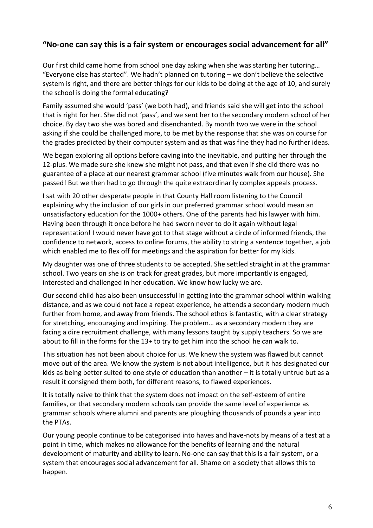### **"No-one can say this is a fair system or encourages social advancement for all"**

Our first child came home from school one day asking when she was starting her tutoring… "Everyone else has started". We hadn't planned on tutoring – we don't believe the selective system is right, and there are better things for our kids to be doing at the age of 10, and surely the school is doing the formal educating?

Family assumed she would 'pass' (we both had), and friends said she will get into the school that is right for her. She did not 'pass', and we sent her to the secondary modern school of her choice. By day two she was bored and disenchanted. By month two we were in the school asking if she could be challenged more, to be met by the response that she was on course for the grades predicted by their computer system and as that was fine they had no further ideas.

We began exploring all options before caving into the inevitable, and putting her through the 12-plus. We made sure she knew she might not pass, and that even if she did there was no guarantee of a place at our nearest grammar school (five minutes walk from our house). She passed! But we then had to go through the quite extraordinarily complex appeals process.

I sat with 20 other desperate people in that County Hall room listening to the Council explaining why the inclusion of our girls in our preferred grammar school would mean an unsatisfactory education for the 1000+ others. One of the parents had his lawyer with him. Having been through it once before he had sworn never to do it again without legal representation! I would never have got to that stage without a circle of informed friends, the confidence to network, access to online forums, the ability to string a sentence together, a job which enabled me to flex off for meetings and the aspiration for better for my kids.

My daughter was one of three students to be accepted. She settled straight in at the grammar school. Two years on she is on track for great grades, but more importantly is engaged, interested and challenged in her education. We know how lucky we are.

Our second child has also been unsuccessful in getting into the grammar school within walking distance, and as we could not face a repeat experience, he attends a secondary modern much further from home, and away from friends. The school ethos is fantastic, with a clear strategy for stretching, encouraging and inspiring. The problem… as a secondary modern they are facing a dire recruitment challenge, with many lessons taught by supply teachers. So we are about to fill in the forms for the 13+ to try to get him into the school he can walk to.

This situation has not been about choice for us. We knew the system was flawed but cannot move out of the area. We know the system is not about intelligence, but it has designated our kids as being better suited to one style of education than another – it is totally untrue but as a result it consigned them both, for different reasons, to flawed experiences.

It is totally naive to think that the system does not impact on the self-esteem of entire families, or that secondary modern schools can provide the same level of experience as grammar schools where alumni and parents are ploughing thousands of pounds a year into the PTAs.

Our young people continue to be categorised into haves and have-nots by means of a test at a point in time, which makes no allowance for the benefits of learning and the natural development of maturity and ability to learn. No-one can say that this is a fair system, or a system that encourages social advancement for all. Shame on a society that allows this to happen.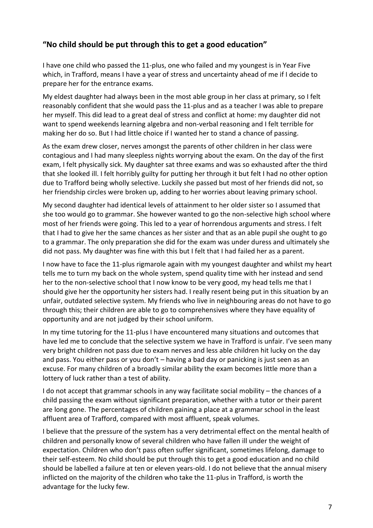## **"No child should be put through this to get a good education"**

I have one child who passed the 11-plus, one who failed and my youngest is in Year Five which, in Trafford, means I have a year of stress and uncertainty ahead of me if I decide to prepare her for the entrance exams.

My eldest daughter had always been in the most able group in her class at primary, so I felt reasonably confident that she would pass the 11-plus and as a teacher I was able to prepare her myself. This did lead to a great deal of stress and conflict at home: my daughter did not want to spend weekends learning algebra and non-verbal reasoning and I felt terrible for making her do so. But I had little choice if I wanted her to stand a chance of passing.

As the exam drew closer, nerves amongst the parents of other children in her class were contagious and I had many sleepless nights worrying about the exam. On the day of the first exam, I felt physically sick. My daughter sat three exams and was so exhausted after the third that she looked ill. I felt horribly guilty for putting her through it but felt I had no other option due to Trafford being wholly selective. Luckily she passed but most of her friends did not, so her friendship circles were broken up, adding to her worries about leaving primary school.

My second daughter had identical levels of attainment to her older sister so I assumed that she too would go to grammar. She however wanted to go the non-selective high school where most of her friends were going. This led to a year of horrendous arguments and stress. I felt that I had to give her the same chances as her sister and that as an able pupil she ought to go to a grammar. The only preparation she did for the exam was under duress and ultimately she did not pass. My daughter was fine with this but I felt that I had failed her as a parent.

I now have to face the 11-plus rigmarole again with my youngest daughter and whilst my heart tells me to turn my back on the whole system, spend quality time with her instead and send her to the non-selective school that I now know to be very good, my head tells me that I should give her the opportunity her sisters had. I really resent being put in this situation by an unfair, outdated selective system. My friends who live in neighbouring areas do not have to go through this; their children are able to go to comprehensives where they have equality of opportunity and are not judged by their school uniform.

In my time tutoring for the 11-plus I have encountered many situations and outcomes that have led me to conclude that the selective system we have in Trafford is unfair. I've seen many very bright children not pass due to exam nerves and less able children hit lucky on the day and pass. You either pass or you don't – having a bad day or panicking is just seen as an excuse. For many children of a broadly similar ability the exam becomes little more than a lottery of luck rather than a test of ability.

I do not accept that grammar schools in any way facilitate social mobility – the chances of a child passing the exam without significant preparation, whether with a tutor or their parent are long gone. The percentages of children gaining a place at a grammar school in the least affluent area of Trafford, compared with most affluent, speak volumes.

I believe that the pressure of the system has a very detrimental effect on the mental health of children and personally know of several children who have fallen ill under the weight of expectation. Children who don't pass often suffer significant, sometimes lifelong, damage to their self-esteem. No child should be put through this to get a good education and no child should be labelled a failure at ten or eleven years-old. I do not believe that the annual misery inflicted on the majority of the children who take the 11-plus in Trafford, is worth the advantage for the lucky few.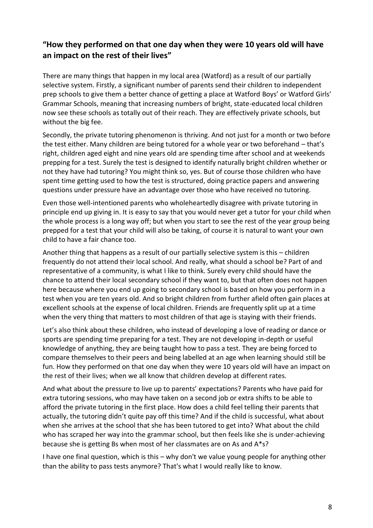## **"How they performed on that one day when they were 10 years old will have an impact on the rest of their lives"**

There are many things that happen in my local area (Watford) as a result of our partially selective system. Firstly, a significant number of parents send their children to independent prep schools to give them a better chance of getting a place at Watford Boys' or Watford Girls' Grammar Schools, meaning that increasing numbers of bright, state-educated local children now see these schools as totally out of their reach. They are effectively private schools, but without the big fee.

Secondly, the private tutoring phenomenon is thriving. And not just for a month or two before the test either. Many children are being tutored for a whole year or two beforehand – that's right, children aged eight and nine years old are spending time after school and at weekends prepping for a test. Surely the test is designed to identify naturally bright children whether or not they have had tutoring? You might think so, yes. But of course those children who have spent time getting used to how the test is structured, doing practice papers and answering questions under pressure have an advantage over those who have received no tutoring.

Even those well-intentioned parents who wholeheartedly disagree with private tutoring in principle end up giving in. It is easy to say that you would never get a tutor for your child when the whole process is a long way off; but when you start to see the rest of the year group being prepped for a test that your child will also be taking, of course it is natural to want your own child to have a fair chance too.

Another thing that happens as a result of our partially selective system is this – children frequently do not attend their local school. And really, what should a school be? Part of and representative of a community, is what I like to think. Surely every child should have the chance to attend their local secondary school if they want to, but that often does not happen here because where you end up going to secondary school is based on how you perform in a test when you are ten years old. And so bright children from further afield often gain places at excellent schools at the expense of local children. Friends are frequently split up at a time when the very thing that matters to most children of that age is staying with their friends.

Let's also think about these children, who instead of developing a love of reading or dance or sports are spending time preparing for a test. They are not developing in-depth or useful knowledge of anything, they are being taught how to pass a test. They are being forced to compare themselves to their peers and being labelled at an age when learning should still be fun. How they performed on that one day when they were 10 years old will have an impact on the rest of their lives; when we all know that children develop at different rates.

And what about the pressure to live up to parents' expectations? Parents who have paid for extra tutoring sessions, who may have taken on a second job or extra shifts to be able to afford the private tutoring in the first place. How does a child feel telling their parents that actually, the tutoring didn't quite pay off this time? And if the child is successful, what about when she arrives at the school that she has been tutored to get into? What about the child who has scraped her way into the grammar school, but then feels like she is under-achieving because she is getting Bs when most of her classmates are on As and A\*s?

I have one final question, which is this – why don't we value young people for anything other than the ability to pass tests anymore? That's what I would really like to know.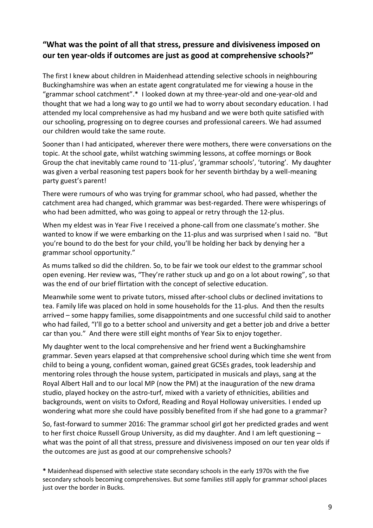## **"What was the point of all that stress, pressure and divisiveness imposed on our ten year-olds if outcomes are just as good at comprehensive schools?"**

The first I knew about children in Maidenhead attending selective schools in neighbouring Buckinghamshire was when an estate agent congratulated me for viewing a house in the "grammar school catchment".\* I looked down at my three-year-old and one-year-old and thought that we had a long way to go until we had to worry about secondary education. I had attended my local comprehensive as had my husband and we were both quite satisfied with our schooling, progressing on to degree courses and professional careers. We had assumed our children would take the same route.

Sooner than I had anticipated, wherever there were mothers, there were conversations on the topic. At the school gate, whilst watching swimming lessons, at coffee mornings or Book Group the chat inevitably came round to '11-plus', 'grammar schools', 'tutoring'. My daughter was given a verbal reasoning test papers book for her seventh birthday by a well-meaning party guest's parent!

There were rumours of who was trying for grammar school, who had passed, whether the catchment area had changed, which grammar was best-regarded. There were whisperings of who had been admitted, who was going to appeal or retry through the 12-plus.

When my eldest was in Year Five I received a phone-call from one classmate's mother. She wanted to know if we were embarking on the 11-plus and was surprised when I said no. "But you're bound to do the best for your child, you'll be holding her back by denying her a grammar school opportunity."

As mums talked so did the children. So, to be fair we took our eldest to the grammar school open evening. Her review was, "They're rather stuck up and go on a lot about rowing", so that was the end of our brief flirtation with the concept of selective education.

Meanwhile some went to private tutors, missed after-school clubs or declined invitations to tea. Family life was placed on hold in some households for the 11-plus. And then the results arrived – some happy families, some disappointments and one successful child said to another who had failed, "I'll go to a better school and university and get a better job and drive a better car than you." And there were still eight months of Year Six to enjoy together.

My daughter went to the local comprehensive and her friend went a Buckinghamshire grammar. Seven years elapsed at that comprehensive school during which time she went from child to being a young, confident woman, gained great GCSEs grades, took leadership and mentoring roles through the house system, participated in musicals and plays, sang at the Royal Albert Hall and to our local MP (now the PM) at the inauguration of the new drama studio, played hockey on the astro-turf, mixed with a variety of ethnicities, abilities and backgrounds, went on visits to Oxford, Reading and Royal Holloway universities. I ended up wondering what more she could have possibly benefited from if she had gone to a grammar?

So, fast-forward to summer 2016: The grammar school girl got her predicted grades and went to her first choice Russell Group University, as did my daughter. And I am left questioning – what was the point of all that stress, pressure and divisiveness imposed on our ten year olds if the outcomes are just as good at our comprehensive schools?

**\*** Maidenhead dispensed with selective state secondary schools in the early 1970s with the five secondary schools becoming comprehensives. But some families still apply for grammar school places just over the border in Bucks.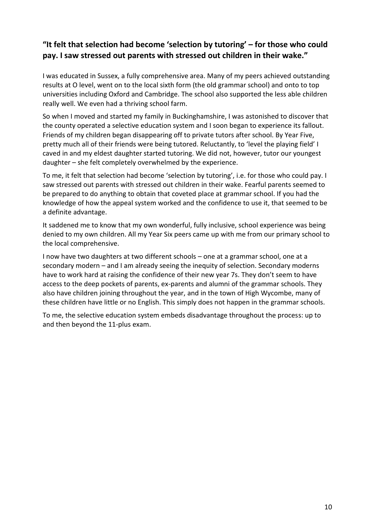# **"It felt that selection had become 'selection by tutoring' – for those who could pay. I saw stressed out parents with stressed out children in their wake."**

I was educated in Sussex, a fully comprehensive area. Many of my peers achieved outstanding results at O level, went on to the local sixth form (the old grammar school) and onto to top universities including Oxford and Cambridge. The school also supported the less able children really well. We even had a thriving school farm.

So when I moved and started my family in Buckinghamshire, I was astonished to discover that the county operated a selective education system and I soon began to experience its fallout. Friends of my children began disappearing off to private tutors after school. By Year Five, pretty much all of their friends were being tutored. Reluctantly, to 'level the playing field' I caved in and my eldest daughter started tutoring. We did not, however, tutor our youngest daughter – she felt completely overwhelmed by the experience.

To me, it felt that selection had become 'selection by tutoring', i.e. for those who could pay. I saw stressed out parents with stressed out children in their wake. Fearful parents seemed to be prepared to do anything to obtain that coveted place at grammar school. If you had the knowledge of how the appeal system worked and the confidence to use it, that seemed to be a definite advantage.

It saddened me to know that my own wonderful, fully inclusive, school experience was being denied to my own children. All my Year Six peers came up with me from our primary school to the local comprehensive.

I now have two daughters at two different schools – one at a grammar school, one at a secondary modern – and I am already seeing the inequity of selection. Secondary moderns have to work hard at raising the confidence of their new year 7s. They don't seem to have access to the deep pockets of parents, ex-parents and alumni of the grammar schools. They also have children joining throughout the year, and in the town of High Wycombe, many of these children have little or no English. This simply does not happen in the grammar schools.

To me, the selective education system embeds disadvantage throughout the process: up to and then beyond the 11-plus exam.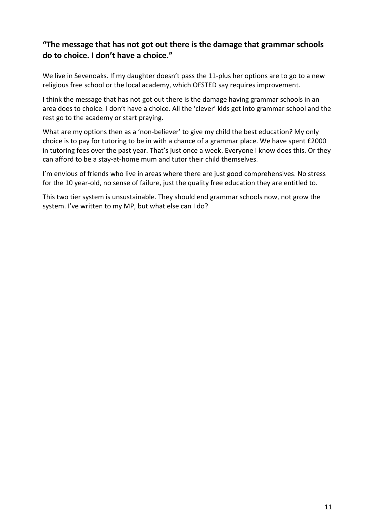## **"The message that has not got out there is the damage that grammar schools do to choice. I don't have a choice."**

We live in Sevenoaks. If my daughter doesn't pass the 11-plus her options are to go to a new religious free school or the local academy, which OFSTED say requires improvement.

I think the message that has not got out there is the damage having grammar schools in an area does to choice. I don't have a choice. All the 'clever' kids get into grammar school and the rest go to the academy or start praying.

What are my options then as a 'non-believer' to give my child the best education? My only choice is to pay for tutoring to be in with a chance of a grammar place. We have spent £2000 in tutoring fees over the past year. That's just once a week. Everyone I know does this. Or they can afford to be a stay-at-home mum and tutor their child themselves.

I'm envious of friends who live in areas where there are just good comprehensives. No stress for the 10 year-old, no sense of failure, just the quality free education they are entitled to.

This two tier system is unsustainable. They should end grammar schools now, not grow the system. I've written to my MP, but what else can I do?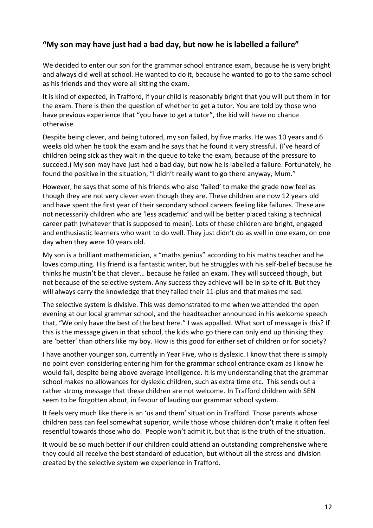## **"My son may have just had a bad day, but now he is labelled a failure"**

We decided to enter our son for the grammar school entrance exam, because he is very bright and always did well at school. He wanted to do it, because he wanted to go to the same school as his friends and they were all sitting the exam.

It is kind of expected, in Trafford, if your child is reasonably bright that you will put them in for the exam. There is then the question of whether to get a tutor. You are told by those who have previous experience that "you have to get a tutor", the kid will have no chance otherwise.

Despite being clever, and being tutored, my son failed, by five marks. He was 10 years and 6 weeks old when he took the exam and he says that he found it very stressful. (I've heard of children being sick as they wait in the queue to take the exam, because of the pressure to succeed.) My son may have just had a bad day, but now he is labelled a failure. Fortunately, he found the positive in the situation, "I didn't really want to go there anyway, Mum."

However, he says that some of his friends who also 'failed' to make the grade now feel as though they are not very clever even though they are. These children are now 12 years old and have spent the first year of their secondary school careers feeling like failures. These are not necessarily children who are 'less academic' and will be better placed taking a technical career path (whatever that is supposed to mean). Lots of these children are bright, engaged and enthusiastic learners who want to do well. They just didn't do as well in one exam, on one day when they were 10 years old.

My son is a brilliant mathematician, a "maths genius" according to his maths teacher and he loves computing. His friend is a fantastic writer, but he struggles with his self-belief because he thinks he mustn't be that clever… because he failed an exam. They will succeed though, but not because of the selective system. Any success they achieve will be in spite of it. But they will always carry the knowledge that they failed their 11-plus and that makes me sad.

The selective system is divisive. This was demonstrated to me when we attended the open evening at our local grammar school, and the headteacher announced in his welcome speech that, "We only have the best of the best here." I was appalled. What sort of message is this? If this is the message given in that school, the kids who go there can only end up thinking they are 'better' than others like my boy. How is this good for either set of children or for society?

I have another younger son, currently in Year Five, who is dyslexic. I know that there is simply no point even considering entering him for the grammar school entrance exam as I know he would fail, despite being above average intelligence. It is my understanding that the grammar school makes no allowances for dyslexic children, such as extra time etc. This sends out a rather strong message that these children are not welcome. In Trafford children with SEN seem to be forgotten about, in favour of lauding our grammar school system.

It feels very much like there is an 'us and them' situation in Trafford. Those parents whose children pass can feel somewhat superior, while those whose children don't make it often feel resentful towards those who do. People won't admit it, but that is the truth of the situation.

It would be so much better if our children could attend an outstanding comprehensive where they could all receive the best standard of education, but without all the stress and division created by the selective system we experience in Trafford.